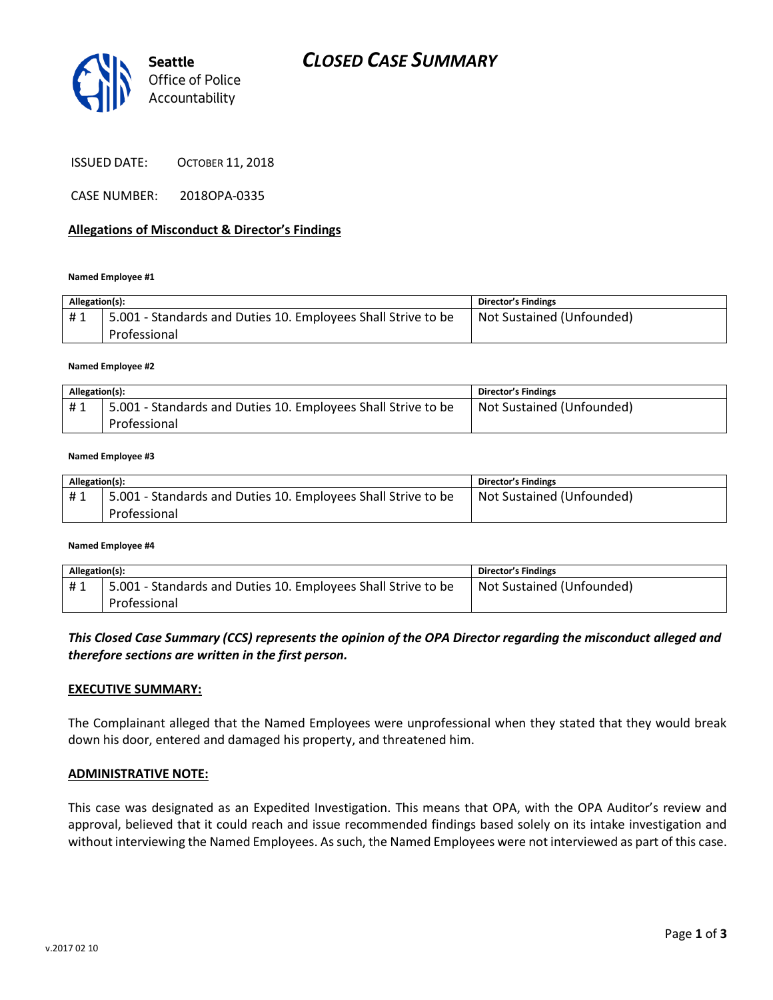

CASE NUMBER: 2018OPA-0335

## **Allegations of Misconduct & Director's Findings**

#### **Named Employee #1**

| Allegation(s): |                                                                               | <b>Director's Findings</b> |
|----------------|-------------------------------------------------------------------------------|----------------------------|
| #1             | 5.001 - Standards and Duties 10. Employees Shall Strive to be<br>Professional | Not Sustained (Unfounded)  |

#### **Named Employee #2**

| Allegation(s): |                                                               | Director's Findings       |
|----------------|---------------------------------------------------------------|---------------------------|
| #1             | 5.001 - Standards and Duties 10. Employees Shall Strive to be | Not Sustained (Unfounded) |
|                | Professional                                                  |                           |

#### **Named Employee #3**

| Allegation(s): |                                                               | <b>Director's Findings</b> |
|----------------|---------------------------------------------------------------|----------------------------|
| #1             | 5.001 - Standards and Duties 10. Employees Shall Strive to be | Not Sustained (Unfounded)  |
|                | Professional                                                  |                            |

#### **Named Employee #4**

| Allegation(s): |                                                                               | Director's Findings       |
|----------------|-------------------------------------------------------------------------------|---------------------------|
| #1             | 5.001 - Standards and Duties 10. Employees Shall Strive to be<br>Professional | Not Sustained (Unfounded) |

# *This Closed Case Summary (CCS) represents the opinion of the OPA Director regarding the misconduct alleged and therefore sections are written in the first person.*

### **EXECUTIVE SUMMARY:**

The Complainant alleged that the Named Employees were unprofessional when they stated that they would break down his door, entered and damaged his property, and threatened him.

## **ADMINISTRATIVE NOTE:**

This case was designated as an Expedited Investigation. This means that OPA, with the OPA Auditor's review and approval, believed that it could reach and issue recommended findings based solely on its intake investigation and without interviewing the Named Employees. As such, the Named Employees were not interviewed as part of this case.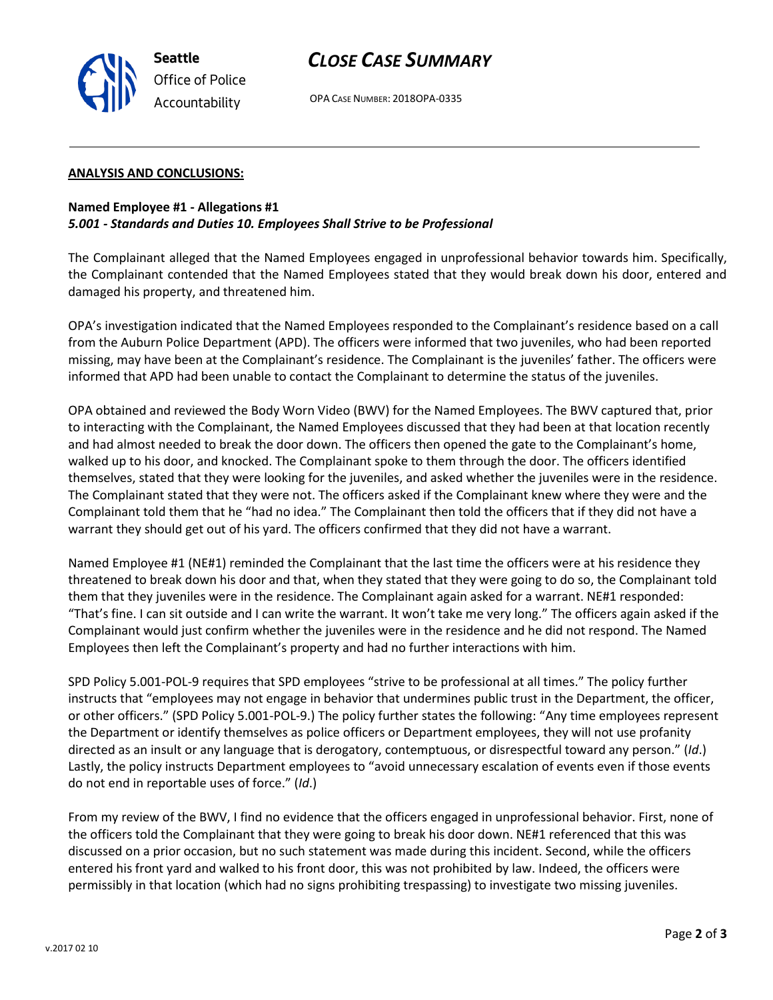



## **ANALYSIS AND CONCLUSIONS:**

**Seattle**

*Office of Police Accountability*

# **Named Employee #1 - Allegations #1** *5.001 - Standards and Duties 10. Employees Shall Strive to be Professional*

The Complainant alleged that the Named Employees engaged in unprofessional behavior towards him. Specifically, the Complainant contended that the Named Employees stated that they would break down his door, entered and damaged his property, and threatened him.

OPA's investigation indicated that the Named Employees responded to the Complainant's residence based on a call from the Auburn Police Department (APD). The officers were informed that two juveniles, who had been reported missing, may have been at the Complainant's residence. The Complainant is the juveniles' father. The officers were informed that APD had been unable to contact the Complainant to determine the status of the juveniles.

OPA obtained and reviewed the Body Worn Video (BWV) for the Named Employees. The BWV captured that, prior to interacting with the Complainant, the Named Employees discussed that they had been at that location recently and had almost needed to break the door down. The officers then opened the gate to the Complainant's home, walked up to his door, and knocked. The Complainant spoke to them through the door. The officers identified themselves, stated that they were looking for the juveniles, and asked whether the juveniles were in the residence. The Complainant stated that they were not. The officers asked if the Complainant knew where they were and the Complainant told them that he "had no idea." The Complainant then told the officers that if they did not have a warrant they should get out of his yard. The officers confirmed that they did not have a warrant.

Named Employee #1 (NE#1) reminded the Complainant that the last time the officers were at his residence they threatened to break down his door and that, when they stated that they were going to do so, the Complainant told them that they juveniles were in the residence. The Complainant again asked for a warrant. NE#1 responded: "That's fine. I can sit outside and I can write the warrant. It won't take me very long." The officers again asked if the Complainant would just confirm whether the juveniles were in the residence and he did not respond. The Named Employees then left the Complainant's property and had no further interactions with him.

SPD Policy 5.001-POL-9 requires that SPD employees "strive to be professional at all times." The policy further instructs that "employees may not engage in behavior that undermines public trust in the Department, the officer, or other officers." (SPD Policy 5.001-POL-9.) The policy further states the following: "Any time employees represent the Department or identify themselves as police officers or Department employees, they will not use profanity directed as an insult or any language that is derogatory, contemptuous, or disrespectful toward any person." (*Id*.) Lastly, the policy instructs Department employees to "avoid unnecessary escalation of events even if those events do not end in reportable uses of force." (*Id*.)

From my review of the BWV, I find no evidence that the officers engaged in unprofessional behavior. First, none of the officers told the Complainant that they were going to break his door down. NE#1 referenced that this was discussed on a prior occasion, but no such statement was made during this incident. Second, while the officers entered his front yard and walked to his front door, this was not prohibited by law. Indeed, the officers were permissibly in that location (which had no signs prohibiting trespassing) to investigate two missing juveniles.